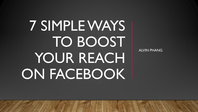# 7 SIMPLE WAYS TO BOOST YOUR REACHI ON FACEBOOK

ALVIN PHANG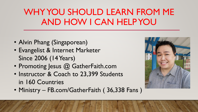#### WHY YOU SHOULD LEARN FROM ME AND HOW I CAN HELP YOU

- Alvin Phang (Singaporean)
- Evangelist & Internet Marketer Since 2006 (14 Years)
- Promoting Jesus @ GatherFaith.com
- Instructor & Coach to 23,399 Students in 160 Countries
- Ministry FB.com/GatherFaith ( 36,338 Fans )

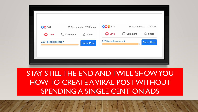| <b>CO</b> 141          |              | 95 Comments . 17 Shares | 009 114                | 78 Comments . 21 Shares |                     |
|------------------------|--------------|-------------------------|------------------------|-------------------------|---------------------|
| <b>Q</b> Love          | Comment<br>U | $\mathcal{D}$ Share     | <b>O</b> Love          | Comment                 | $\mathcal{D}$ Share |
| 2,594 people reached > |              | <b>Boost Post</b>       | 2,518 people reached > |                         | <b>Boost Post</b>   |

#### STAY STILL THE END AND I WILL SHOW YOU HOW TO CREATE A VIRAL POST WITHOUT SPENDING A SINGLE CENT ON ADS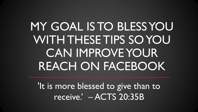## MY GOAL IS TO BLESS YOU WITH THESE TIPS SO YOU CAN IMPROVE YOUR REACH ON FACEBOOK

'It is more blessed to give than to receive.' – ACTS 20:35B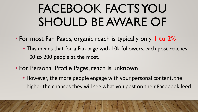## FACEBOOK FACTS YOU SHOULD BE AWARE OF

- For most Fan Pages, organic reach is typically only **1 to 2%**
	- This means that for a Fan page with 10k followers, each post reaches 100 to 200 people at the most.
- For Personal Profile Pages, reach is unknown
	- However, the more people engage with your personal content, the higher the chances they will see what you post on their Facebook feed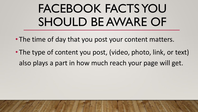## FACEBOOK FACTS YOU SHOULD BE AWARE OF

- The time of day that you post your content matters.
- The type of content you post, (video, photo, link, or text) also plays a part in how much reach your page will get.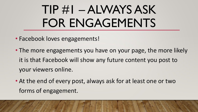## TIP #1 – ALWAYS ASK FOR ENGAGEMENTS

- Facebook loves engagements!
- The more engagements you have on your page, the more likely it is that Facebook will show any future content you post to your viewers online.
- At the end of every post, always ask for at least one or two forms of engagement.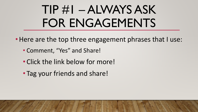## TIP #1 – ALWAYS ASK FOR ENGAGEMENTS

- Here are the top three engagement phrases that I use:
	- Comment, "Yes" and Share!
	- Click the link below for more!
	- Tag your friends and share!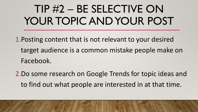### TIP #2 – BE SELECTIVE ON YOUR TOPIC AND YOUR POST

- 1.Posting content that is not relevant to your desired target audience is a common mistake people make on Facebook.
- 2.Do some research on Google Trends for topic ideas and to find out what people are interested in at that time.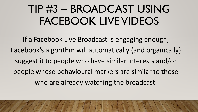#### TIP #3 – BROADCAST USING FACEBOOK LIVE VIDEOS

If a Facebook Live Broadcast is engaging enough, Facebook's algorithm will automatically (and organically) suggest it to people who have similar interests and/or people whose behavioural markers are similar to those who are already watching the broadcast.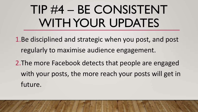## TIP #4 – BE CONSISTENT WITH YOUR UPDATES

1.Be disciplined and strategic when you post, and post regularly to maximise audience engagement.

2.The more Facebook detects that people are engaged with your posts, the more reach your posts will get in future.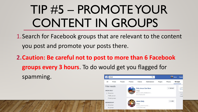## TIP #5 – PROMOTE YOUR CONTENT IN GROUPS

1.Search for Facebook groups that are relevant to the content you post and promote your posts there.

**2.Caution: Be careful not to post to more than 6 Facebook groups every 3 hours**. To do would get you flagged for spamming. $\left| \right|$  jesus Q

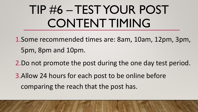## TIP #6 –TEST YOUR POST CONTENT TIMING

- 1.Some recommended times are: 8am, 10am, 12pm, 3pm, 5pm, 8pm and 10pm.
- 2.Do not promote the post during the one day test period.
- 3.Allow 24 hours for each post to be online before comparing the reach that the post has.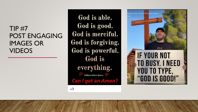#### TIP  $\#7$ POST ENGAGING IMAGES OR VIDEOS

God is able. God is good. God is merciful. God is forgiving. God is powerful. God is everything. **Brilliant Minds Quotes Can I get an Amen?** 



 $<3$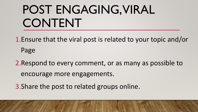## POST ENGAGING, VIRAL CONTENT

1.Ensure that the viral post is related to your topic and/or Page

2.Respond to every comment, or as many as possible to encourage more engagements.

3.Share the post to related groups online.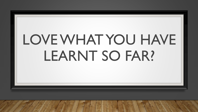# LOVE WHAT YOU HAVE LEARNT SO FAR?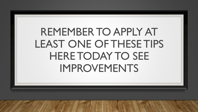#### REMEMBER TO APPLY AT LEAST ONE OF THESE TIPS HERE TODAY TO SEE IMPROVEMENTS